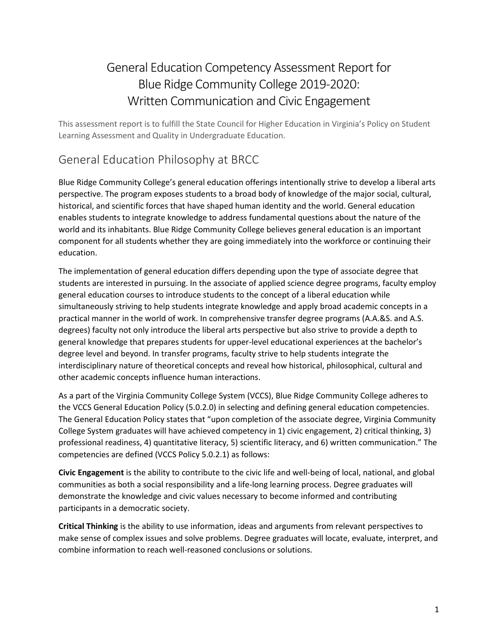# General Education Competency Assessment Report for Blue Ridge Community College 2019-2020: Written Communication and Civic Engagement

This assessment report is to fulfill the State Council for Higher Education in Virginia's Policy on Student Learning Assessment and Quality in Undergraduate Education.

## General Education Philosophy at BRCC

Blue Ridge Community College's general education offerings intentionally strive to develop a liberal arts perspective. The program exposes students to a broad body of knowledge of the major social, cultural, historical, and scientific forces that have shaped human identity and the world. General education enables students to integrate knowledge to address fundamental questions about the nature of the world and its inhabitants. Blue Ridge Community College believes general education is an important component for all students whether they are going immediately into the workforce or continuing their education.

The implementation of general education differs depending upon the type of associate degree that students are interested in pursuing. In the associate of applied science degree programs, faculty employ general education courses to introduce students to the concept of a liberal education while simultaneously striving to help students integrate knowledge and apply broad academic concepts in a practical manner in the world of work. In comprehensive transfer degree programs (A.A.&S. and A.S. degrees) faculty not only introduce the liberal arts perspective but also strive to provide a depth to general knowledge that prepares students for upper-level educational experiences at the bachelor's degree level and beyond. In transfer programs, faculty strive to help students integrate the interdisciplinary nature of theoretical concepts and reveal how historical, philosophical, cultural and other academic concepts influence human interactions.

As a part of the Virginia Community College System (VCCS), Blue Ridge Community College adheres to the VCCS General Education Policy (5.0.2.0) in selecting and defining general education competencies. The General Education Policy states that "upon completion of the associate degree, Virginia Community College System graduates will have achieved competency in 1) civic engagement, 2) critical thinking, 3) professional readiness, 4) quantitative literacy, 5) scientific literacy, and 6) written communication." The competencies are defined (VCCS Policy 5.0.2.1) as follows:

**Civic Engagement** is the ability to contribute to the civic life and well-being of local, national, and global communities as both a social responsibility and a life-long learning process. Degree graduates will demonstrate the knowledge and civic values necessary to become informed and contributing participants in a democratic society.

**Critical Thinking** is the ability to use information, ideas and arguments from relevant perspectives to make sense of complex issues and solve problems. Degree graduates will locate, evaluate, interpret, and combine information to reach well-reasoned conclusions or solutions.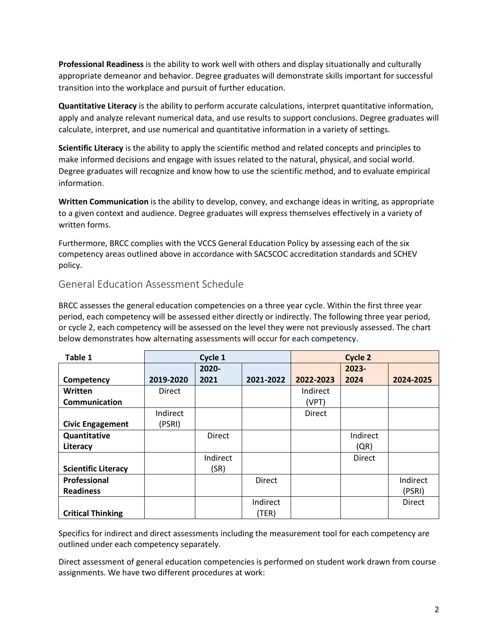**Professional Readiness** is the ability to work well with others and display situationally and culturally appropriate demeanor and behavior. Degree graduates will demonstrate skills important for successful transition into the workplace and pursuit of further education.

**Quantitative Literacy** is the ability to perform accurate calculations, interpret quantitative information, apply and analyze relevant numerical data, and use results to support conclusions. Degree graduates will calculate, interpret, and use numerical and quantitative information in a variety of settings.

**Scientific Literacy** is the ability to apply the scientific method and related concepts and principles to make informed decisions and engage with issues related to the natural, physical, and social world. Degree graduates will recognize and know how to use the scientific method, and to evaluate empirical information.

**Written Communication** is the ability to develop, convey, and exchange ideas in writing, as appropriate to a given context and audience. Degree graduates will express themselves effectively in a variety of written forms.

Furthermore, BRCC complies with the VCCS General Education Policy by assessing each of the six competency areas outlined above in accordance with SACSCOC accreditation standards and SCHEV policy.

### General Education Assessment Schedule

BRCC assesses the general education competencies on a three year cycle. Within the first three year period, each competency will be assessed either directly or indirectly. The following three year period, or cycle 2, each competency will be assessed on the level they were not previously assessed. The chart below demonstrates how alternating assessments will occur for each competency.

| Table 1                    | Cycle 1       |          | Cycle 2       |               |          |               |
|----------------------------|---------------|----------|---------------|---------------|----------|---------------|
|                            |               | $2020 -$ |               |               | 2023-    |               |
| Competency                 | 2019-2020     | 2021     | 2021-2022     | 2022-2023     | 2024     | 2024-2025     |
| Written                    | <b>Direct</b> |          |               | Indirect      |          |               |
| <b>Communication</b>       |               |          |               | (VPT)         |          |               |
|                            | Indirect      |          |               | <b>Direct</b> |          |               |
| <b>Civic Engagement</b>    | (PSRI)        |          |               |               |          |               |
| Quantitative               |               | Direct   |               |               | Indirect |               |
| Literacy                   |               |          |               |               | (QR)     |               |
|                            |               | Indirect |               |               | Direct   |               |
| <b>Scientific Literacy</b> |               | (SR)     |               |               |          |               |
| Professional               |               |          | <b>Direct</b> |               |          | Indirect      |
| <b>Readiness</b>           |               |          |               |               |          | (PSRI)        |
|                            |               |          | Indirect      |               |          | <b>Direct</b> |
| <b>Critical Thinking</b>   |               |          | (TER)         |               |          |               |

Specifics for indirect and direct assessments including the measurement tool for each competency are outlined under each competency separately.

Direct assessment of general education competencies is performed on student work drawn from course assignments. We have two different procedures at work: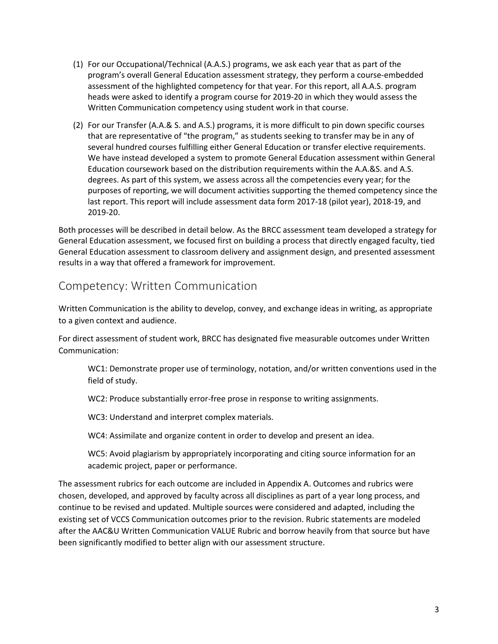- (1) For our Occupational/Technical (A.A.S.) programs, we ask each year that as part of the program's overall General Education assessment strategy, they perform a course-embedded assessment of the highlighted competency for that year. For this report, all A.A.S. program heads were asked to identify a program course for 2019-20 in which they would assess the Written Communication competency using student work in that course.
- (2) For our Transfer (A.A.& S. and A.S.) programs, it is more difficult to pin down specific courses that are representative of "the program," as students seeking to transfer may be in any of several hundred courses fulfilling either General Education or transfer elective requirements. We have instead developed a system to promote General Education assessment within General Education coursework based on the distribution requirements within the A.A.&S. and A.S. degrees. As part of this system, we assess across all the competencies every year; for the purposes of reporting, we will document activities supporting the themed competency since the last report. This report will include assessment data form 2017-18 (pilot year), 2018-19, and 2019-20.

Both processes will be described in detail below. As the BRCC assessment team developed a strategy for General Education assessment, we focused first on building a process that directly engaged faculty, tied General Education assessment to classroom delivery and assignment design, and presented assessment results in a way that offered a framework for improvement.

## Competency: Written Communication

Written Communication is the ability to develop, convey, and exchange ideas in writing, as appropriate to a given context and audience.

For direct assessment of student work, BRCC has designated five measurable outcomes under Written Communication:

WC1: Demonstrate proper use of terminology, notation, and/or written conventions used in the field of study.

WC2: Produce substantially error-free prose in response to writing assignments.

WC3: Understand and interpret complex materials.

WC4: Assimilate and organize content in order to develop and present an idea.

WC5: Avoid plagiarism by appropriately incorporating and citing source information for an academic project, paper or performance.

The assessment rubrics for each outcome are included in Appendix A. Outcomes and rubrics were chosen, developed, and approved by faculty across all disciplines as part of a year long process, and continue to be revised and updated. Multiple sources were considered and adapted, including the existing set of VCCS Communication outcomes prior to the revision. Rubric statements are modeled after the AAC&U Written Communication VALUE Rubric and borrow heavily from that source but have been significantly modified to better align with our assessment structure.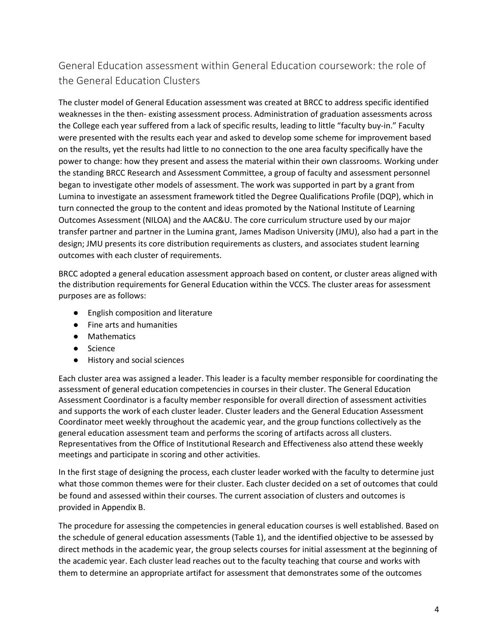## General Education assessment within General Education coursework: the role of the General Education Clusters

The cluster model of General Education assessment was created at BRCC to address specific identified weaknesses in the then- existing assessment process. Administration of graduation assessments across the College each year suffered from a lack of specific results, leading to little "faculty buy-in." Faculty were presented with the results each year and asked to develop some scheme for improvement based on the results, yet the results had little to no connection to the one area faculty specifically have the power to change: how they present and assess the material within their own classrooms. Working under the standing BRCC Research and Assessment Committee, a group of faculty and assessment personnel began to investigate other models of assessment. The work was supported in part by a grant from Lumina to investigate an assessment framework titled the Degree Qualifications Profile (DQP), which in turn connected the group to the content and ideas promoted by the National Institute of Learning Outcomes Assessment (NILOA) and the AAC&U. The core curriculum structure used by our major transfer partner and partner in the Lumina grant, James Madison University (JMU), also had a part in the design; JMU presents its core distribution requirements as clusters, and associates student learning outcomes with each cluster of requirements.

BRCC adopted a general education assessment approach based on content, or cluster areas aligned with the distribution requirements for General Education within the VCCS. The cluster areas for assessment purposes are as follows:

- English composition and literature
- Fine arts and humanities
- Mathematics
- Science
- History and social sciences

Each cluster area was assigned a leader. This leader is a faculty member responsible for coordinating the assessment of general education competencies in courses in their cluster. The General Education Assessment Coordinator is a faculty member responsible for overall direction of assessment activities and supports the work of each cluster leader. Cluster leaders and the General Education Assessment Coordinator meet weekly throughout the academic year, and the group functions collectively as the general education assessment team and performs the scoring of artifacts across all clusters. Representatives from the Office of Institutional Research and Effectiveness also attend these weekly meetings and participate in scoring and other activities.

In the first stage of designing the process, each cluster leader worked with the faculty to determine just what those common themes were for their cluster. Each cluster decided on a set of outcomes that could be found and assessed within their courses. The current association of clusters and outcomes is provided in Appendix B.

The procedure for assessing the competencies in general education courses is well established. Based on the schedule of general education assessments (Table 1), and the identified objective to be assessed by direct methods in the academic year, the group selects courses for initial assessment at the beginning of the academic year. Each cluster lead reaches out to the faculty teaching that course and works with them to determine an appropriate artifact for assessment that demonstrates some of the outcomes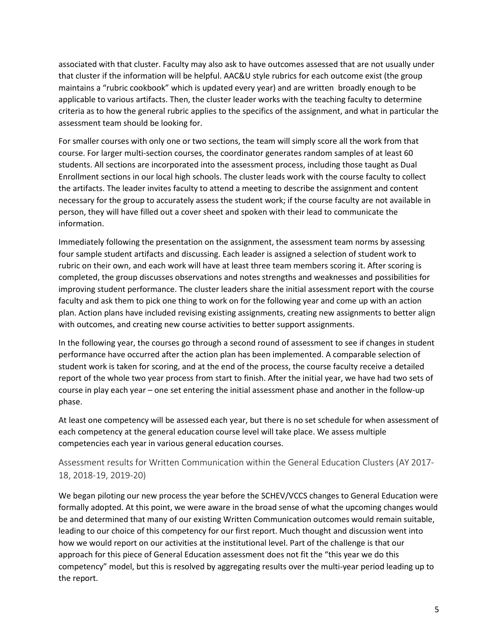associated with that cluster. Faculty may also ask to have outcomes assessed that are not usually under that cluster if the information will be helpful. AAC&U style rubrics for each outcome exist (the group maintains a "rubric cookbook" which is updated every year) and are written broadly enough to be applicable to various artifacts. Then, the cluster leader works with the teaching faculty to determine criteria as to how the general rubric applies to the specifics of the assignment, and what in particular the assessment team should be looking for.

For smaller courses with only one or two sections, the team will simply score all the work from that course. For larger multi-section courses, the coordinator generates random samples of at least 60 students. All sections are incorporated into the assessment process, including those taught as Dual Enrollment sections in our local high schools. The cluster leads work with the course faculty to collect the artifacts. The leader invites faculty to attend a meeting to describe the assignment and content necessary for the group to accurately assess the student work; if the course faculty are not available in person, they will have filled out a cover sheet and spoken with their lead to communicate the information.

Immediately following the presentation on the assignment, the assessment team norms by assessing four sample student artifacts and discussing. Each leader is assigned a selection of student work to rubric on their own, and each work will have at least three team members scoring it. After scoring is completed, the group discusses observations and notes strengths and weaknesses and possibilities for improving student performance. The cluster leaders share the initial assessment report with the course faculty and ask them to pick one thing to work on for the following year and come up with an action plan. Action plans have included revising existing assignments, creating new assignments to better align with outcomes, and creating new course activities to better support assignments.

In the following year, the courses go through a second round of assessment to see if changes in student performance have occurred after the action plan has been implemented. A comparable selection of student work is taken for scoring, and at the end of the process, the course faculty receive a detailed report of the whole two year process from start to finish. After the initial year, we have had two sets of course in play each year – one set entering the initial assessment phase and another in the follow-up phase.

At least one competency will be assessed each year, but there is no set schedule for when assessment of each competency at the general education course level will take place. We assess multiple competencies each year in various general education courses.

Assessment results for Written Communication within the General Education Clusters (AY 2017- 18, 2018-19, 2019-20)

We began piloting our new process the year before the SCHEV/VCCS changes to General Education were formally adopted. At this point, we were aware in the broad sense of what the upcoming changes would be and determined that many of our existing Written Communication outcomes would remain suitable, leading to our choice of this competency for our first report. Much thought and discussion went into how we would report on our activities at the institutional level. Part of the challenge is that our approach for this piece of General Education assessment does not fit the "this year we do this competency" model, but this is resolved by aggregating results over the multi-year period leading up to the report.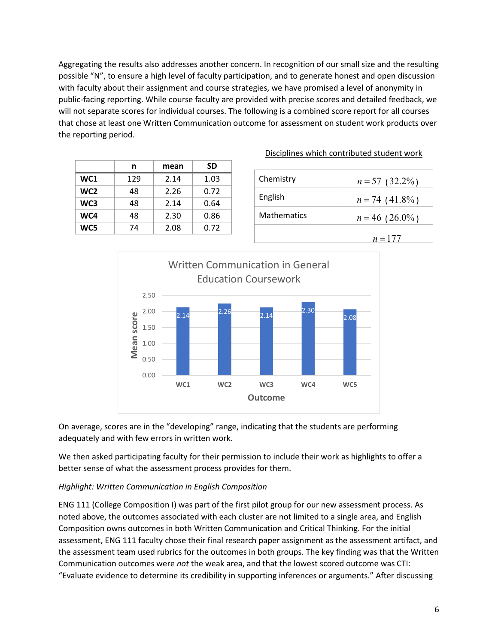Aggregating the results also addresses another concern. In recognition of our small size and the resulting possible "N", to ensure a high level of faculty participation, and to generate honest and open discussion with faculty about their assignment and course strategies, we have promised a level of anonymity in public-facing reporting. While course faculty are provided with precise scores and detailed feedback, we will not separate scores for individual courses. The following is a combined score report for all courses that chose at least one Written Communication outcome for assessment on student work products over the reporting period.

|     | n   | mean | SD   |
|-----|-----|------|------|
| WC1 | 129 | 2.14 | 1.03 |
| WC2 | 48  | 2.26 | 0.72 |
| WC3 | 48  | 2.14 | 0.64 |
| WC4 | 48  | 2.30 | 0.86 |
| WC5 | 74  | 2.08 | 0.72 |

| Chemistry          | $n = 57$ (32.2%) |
|--------------------|------------------|
| English            | $n = 74$ (41.8%) |
| <b>Mathematics</b> | $n = 46$ (26.0%) |
|                    | $n = 177$        |

Disciplines which contributed student work



On average, scores are in the "developing" range, indicating that the students are performing adequately and with few errors in written work.

We then asked participating faculty for their permission to include their work as highlights to offer a better sense of what the assessment process provides for them.

#### *Highlight: Written Communication in English Composition*

ENG 111 (College Composition I) was part of the first pilot group for our new assessment process. As noted above, the outcomes associated with each cluster are not limited to a single area, and English Composition owns outcomes in both Written Communication and Critical Thinking. For the initial assessment, ENG 111 faculty chose their final research paper assignment as the assessment artifact, and the assessment team used rubrics for the outcomes in both groups. The key finding was that the Written Communication outcomes were *not* the weak area, and that the lowest scored outcome was CTI: "Evaluate evidence to determine its credibility in supporting inferences or arguments." After discussing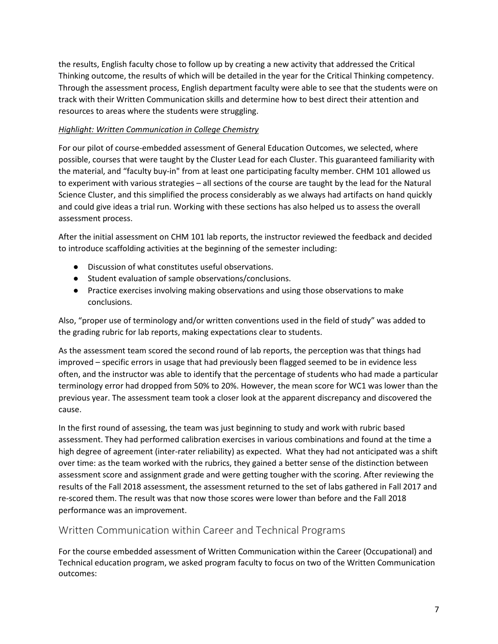the results, English faculty chose to follow up by creating a new activity that addressed the Critical Thinking outcome, the results of which will be detailed in the year for the Critical Thinking competency. Through the assessment process, English department faculty were able to see that the students were on track with their Written Communication skills and determine how to best direct their attention and resources to areas where the students were struggling.

#### *Highlight: Written Communication in College Chemistry*

For our pilot of course-embedded assessment of General Education Outcomes, we selected, where possible, courses that were taught by the Cluster Lead for each Cluster. This guaranteed familiarity with the material, and "faculty buy-in" from at least one participating faculty member. CHM 101 allowed us to experiment with various strategies – all sections of the course are taught by the lead for the Natural Science Cluster, and this simplified the process considerably as we always had artifacts on hand quickly and could give ideas a trial run. Working with these sections has also helped us to assess the overall assessment process.

After the initial assessment on CHM 101 lab reports, the instructor reviewed the feedback and decided to introduce scaffolding activities at the beginning of the semester including:

- Discussion of what constitutes useful observations.
- Student evaluation of sample observations/conclusions.
- Practice exercises involving making observations and using those observations to make conclusions.

Also, "proper use of terminology and/or written conventions used in the field of study" was added to the grading rubric for lab reports, making expectations clear to students.

As the assessment team scored the second round of lab reports, the perception was that things had improved – specific errors in usage that had previously been flagged seemed to be in evidence less often, and the instructor was able to identify that the percentage of students who had made a particular terminology error had dropped from 50% to 20%. However, the mean score for WC1 was lower than the previous year. The assessment team took a closer look at the apparent discrepancy and discovered the cause.

In the first round of assessing, the team was just beginning to study and work with rubric based assessment. They had performed calibration exercises in various combinations and found at the time a high degree of agreement (inter-rater reliability) as expected. What they had not anticipated was a shift over time: as the team worked with the rubrics, they gained a better sense of the distinction between assessment score and assignment grade and were getting tougher with the scoring. After reviewing the results of the Fall 2018 assessment, the assessment returned to the set of labs gathered in Fall 2017 and re-scored them. The result was that now those scores were lower than before and the Fall 2018 performance was an improvement.

### Written Communication within Career and Technical Programs

For the course embedded assessment of Written Communication within the Career (Occupational) and Technical education program, we asked program faculty to focus on two of the Written Communication outcomes: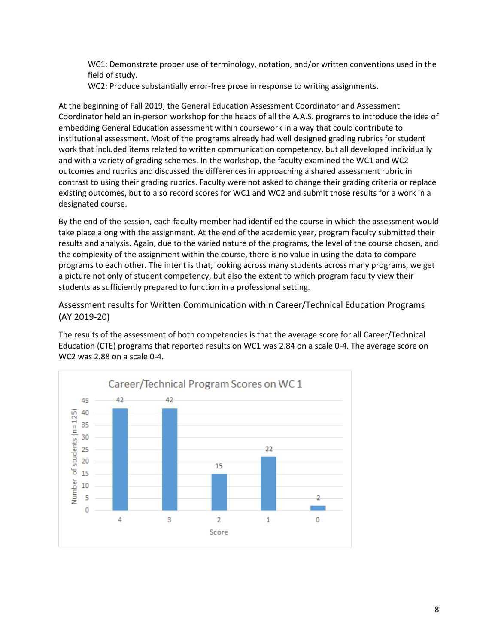WC1: Demonstrate proper use of terminology, notation, and/or written conventions used in the field of study.

WC2: Produce substantially error-free prose in response to writing assignments.

At the beginning of Fall 2019, the General Education Assessment Coordinator and Assessment Coordinator held an in-person workshop for the heads of all the A.A.S. programs to introduce the idea of embedding General Education assessment within coursework in a way that could contribute to institutional assessment. Most of the programs already had well designed grading rubrics for student work that included items related to written communication competency, but all developed individually and with a variety of grading schemes. In the workshop, the faculty examined the WC1 and WC2 outcomes and rubrics and discussed the differences in approaching a shared assessment rubric in contrast to using their grading rubrics. Faculty were not asked to change their grading criteria or replace existing outcomes, but to also record scores for WC1 and WC2 and submit those results for a work in a designated course.

By the end of the session, each faculty member had identified the course in which the assessment would take place along with the assignment. At the end of the academic year, program faculty submitted their results and analysis. Again, due to the varied nature of the programs, the level of the course chosen, and the complexity of the assignment within the course, there is no value in using the data to compare programs to each other. The intent is that, looking across many students across many programs, we get a picture not only of student competency, but also the extent to which program faculty view their students as sufficiently prepared to function in a professional setting.

Assessment results for Written Communication within Career/Technical Education Programs (AY 2019-20)

The results of the assessment of both competencies is that the average score for all Career/Technical Education (CTE) programs that reported results on WC1 was 2.84 on a scale 0-4. The average score on WC2 was 2.88 on a scale 0-4.

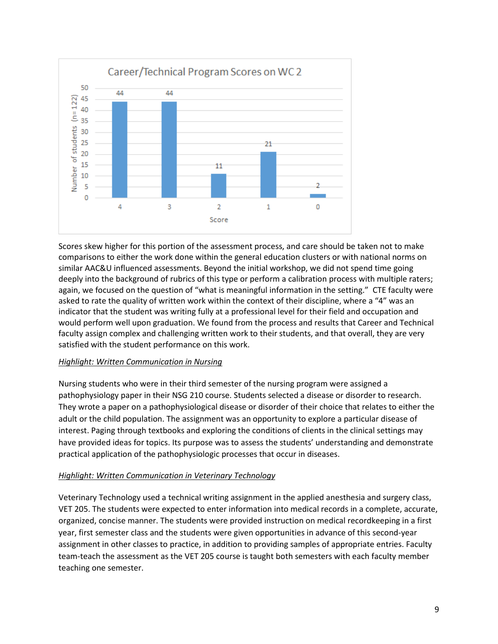

Scores skew higher for this portion of the assessment process, and care should be taken not to make comparisons to either the work done within the general education clusters or with national norms on similar AAC&U influenced assessments. Beyond the initial workshop, we did not spend time going deeply into the background of rubrics of this type or perform a calibration process with multiple raters; again, we focused on the question of "what is meaningful information in the setting." CTE faculty were asked to rate the quality of written work within the context of their discipline, where a "4" was an indicator that the student was writing fully at a professional level for their field and occupation and would perform well upon graduation. We found from the process and results that Career and Technical faculty assign complex and challenging written work to their students, and that overall, they are very satisfied with the student performance on this work.

#### *Highlight: Written Communication in Nursing*

Nursing students who were in their third semester of the nursing program were assigned a pathophysiology paper in their NSG 210 course. Students selected a disease or disorder to research. They wrote a paper on a pathophysiological disease or disorder of their choice that relates to either the adult or the child population. The assignment was an opportunity to explore a particular disease of interest. Paging through textbooks and exploring the conditions of clients in the clinical settings may have provided ideas for topics. Its purpose was to assess the students' understanding and demonstrate practical application of the pathophysiologic processes that occur in diseases.

#### *Highlight: Written Communication in Veterinary Technology*

Veterinary Technology used a technical writing assignment in the applied anesthesia and surgery class, VET 205. The students were expected to enter information into medical records in a complete, accurate, organized, concise manner. The students were provided instruction on medical recordkeeping in a first year, first semester class and the students were given opportunities in advance of this second-year assignment in other classes to practice, in addition to providing samples of appropriate entries. Faculty team-teach the assessment as the VET 205 course is taught both semesters with each faculty member teaching one semester.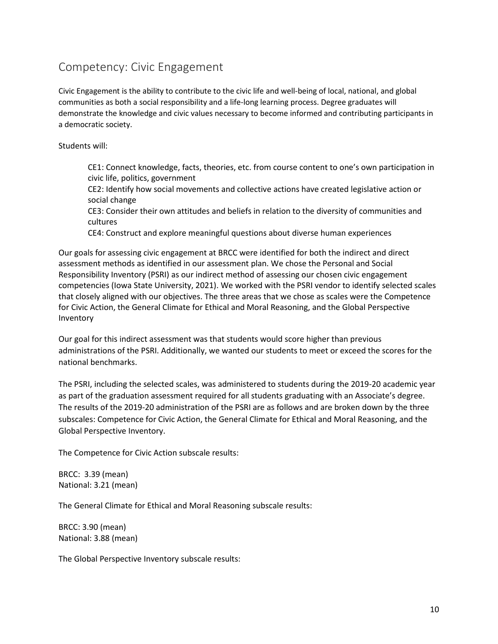## Competency: Civic Engagement

Civic Engagement is the ability to contribute to the civic life and well-being of local, national, and global communities as both a social responsibility and a life-long learning process. Degree graduates will demonstrate the knowledge and civic values necessary to become informed and contributing participants in a democratic society.

Students will:

CE1: Connect knowledge, facts, theories, etc. from course content to one's own participation in civic life, politics, government

CE2: Identify how social movements and collective actions have created legislative action or social change

CE3: Consider their own attitudes and beliefs in relation to the diversity of communities and cultures

CE4: Construct and explore meaningful questions about diverse human experiences

Our goals for assessing civic engagement at BRCC were identified for both the indirect and direct assessment methods as identified in our assessment plan. We chose the Personal and Social Responsibility Inventory (PSRI) as our indirect method of assessing our chosen civic engagement competencies (Iowa State University, 2021). We worked with the PSRI vendor to identify selected scales that closely aligned with our objectives. The three areas that we chose as scales were the Competence for Civic Action, the General Climate for Ethical and Moral Reasoning, and the Global Perspective Inventory

Our goal for this indirect assessment was that students would score higher than previous administrations of the PSRI. Additionally, we wanted our students to meet or exceed the scores for the national benchmarks.

The PSRI, including the selected scales, was administered to students during the 2019-20 academic year as part of the graduation assessment required for all students graduating with an Associate's degree. The results of the 2019-20 administration of the PSRI are as follows and are broken down by the three subscales: Competence for Civic Action, the General Climate for Ethical and Moral Reasoning, and the Global Perspective Inventory.

The Competence for Civic Action subscale results:

BRCC: 3.39 (mean) National: 3.21 (mean)

The General Climate for Ethical and Moral Reasoning subscale results:

BRCC: 3.90 (mean) National: 3.88 (mean)

The Global Perspective Inventory subscale results: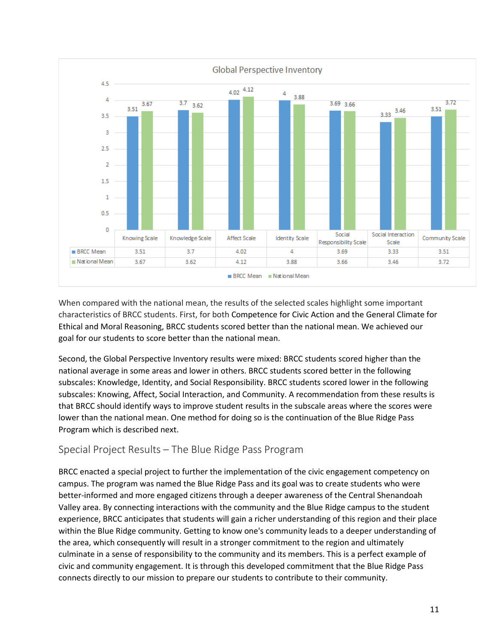

When compared with the national mean, the results of the selected scales highlight some important characteristics of BRCC students. First, for both Competence for Civic Action and the General Climate for Ethical and Moral Reasoning, BRCC students scored better than the national mean. We achieved our goal for our students to score better than the national mean.

Second, the Global Perspective Inventory results were mixed: BRCC students scored higher than the national average in some areas and lower in others. BRCC students scored better in the following subscales: Knowledge, Identity, and Social Responsibility. BRCC students scored lower in the following subscales: Knowing, Affect, Social Interaction, and Community. A recommendation from these results is that BRCC should identify ways to improve student results in the subscale areas where the scores were lower than the national mean. One method for doing so is the continuation of the Blue Ridge Pass Program which is described next.

### Special Project Results – The Blue Ridge Pass Program

BRCC enacted a special project to further the implementation of the civic engagement competency on campus. The program was named the Blue Ridge Pass and its goal was to create students who were better-informed and more engaged citizens through a deeper awareness of the Central Shenandoah Valley area. By connecting interactions with the community and the Blue Ridge campus to the student experience, BRCC anticipates that students will gain a richer understanding of this region and their place within the Blue Ridge community. Getting to know one's community leads to a deeper understanding of the area, which consequently will result in a stronger commitment to the region and ultimately culminate in a sense of responsibility to the community and its members. This is a perfect example of civic and community engagement. It is through this developed commitment that the Blue Ridge Pass connects directly to our mission to prepare our students to contribute to their community.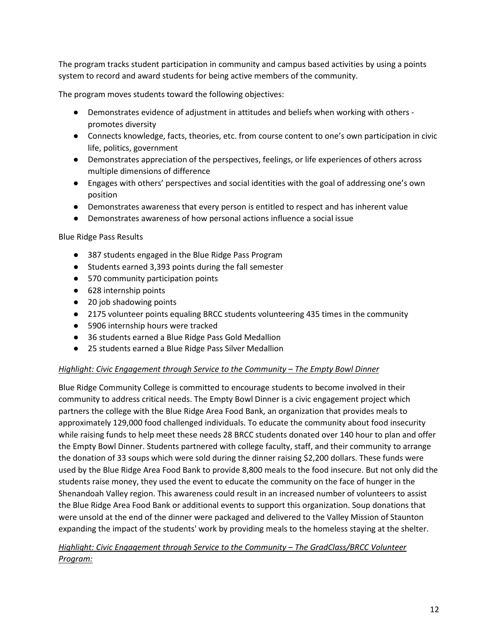The program tracks student participation in community and campus based activities by using a points system to record and award students for being active members of the community.

The program moves students toward the following objectives:

- Demonstrates evidence of adjustment in attitudes and beliefs when working with others promotes diversity
- Connects knowledge, facts, theories, etc. from course content to one's own participation in civic life, politics, government
- Demonstrates appreciation of the perspectives, feelings, or life experiences of others across multiple dimensions of difference
- Engages with others' perspectives and social identities with the goal of addressing one's own position
- Demonstrates awareness that every person is entitled to respect and has inherent value
- Demonstrates awareness of how personal actions influence a social issue

#### Blue Ridge Pass Results

- 387 students engaged in the Blue Ridge Pass Program
- Students earned 3,393 points during the fall semester
- 570 community participation points
- 628 internship points
- 20 job shadowing points
- 2175 volunteer points equaling BRCC students volunteering 435 times in the community
- 5906 internship hours were tracked
- 36 students earned a Blue Ridge Pass Gold Medallion
- 25 students earned a Blue Ridge Pass Silver Medallion

#### *Highlight: Civic Engagement through Service to the Community – The Empty Bowl Dinner*

Blue Ridge Community College is committed to encourage students to become involved in their community to address critical needs. The Empty Bowl Dinner is a civic engagement project which partners the college with the Blue Ridge Area Food Bank, an organization that provides meals to approximately 129,000 food challenged individuals. To educate the community about food insecurity while raising funds to help meet these needs 28 BRCC students donated over 140 hour to plan and offer the Empty Bowl Dinner. Students partnered with college faculty, staff, and their community to arrange the donation of 33 soups which were sold during the dinner raising \$2,200 dollars. These funds were used by the Blue Ridge Area Food Bank to provide 8,800 meals to the food insecure. But not only did the students raise money, they used the event to educate the community on the face of hunger in the Shenandoah Valley region. This awareness could result in an increased number of volunteers to assist the Blue Ridge Area Food Bank or additional events to support this organization. Soup donations that were unsold at the end of the dinner were packaged and delivered to the Valley Mission of Staunton expanding the impact of the students' work by providing meals to the homeless staying at the shelter.

*Highlight: Civic Engagement through Service to the Community – The GradClass/BRCC Volunteer Program:*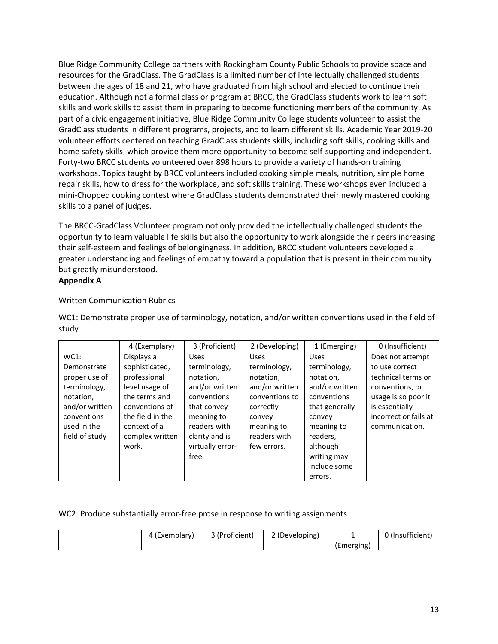Blue Ridge Community College partners with Rockingham County Public Schools to provide space and resources for the GradClass. The GradClass is a limited number of intellectually challenged students between the ages of 18 and 21, who have graduated from high school and elected to continue their education. Although not a formal class or program at BRCC, the GradClass students work to learn soft skills and work skills to assist them in preparing to become functioning members of the community. As part of a civic engagement initiative, Blue Ridge Community College students volunteer to assist the GradClass students in different programs, projects, and to learn different skills. Academic Year 2019-20 volunteer efforts centered on teaching GradClass students skills, including soft skills, cooking skills and home safety skills, which provide them more opportunity to become self-supporting and independent. Forty-two BRCC students volunteered over 898 hours to provide a variety of hands-on training workshops. Topics taught by BRCC volunteers included cooking simple meals, nutrition, simple home repair skills, how to dress for the workplace, and soft skills training. These workshops even included a mini-Chopped cooking contest where GradClass students demonstrated their newly mastered cooking skills to a panel of judges.

The BRCC-GradClass Volunteer program not only provided the intellectually challenged students the opportunity to learn valuable life skills but also the opportunity to work alongside their peers increasing their self-esteem and feelings of belongingness. In addition, BRCC student volunteers developed a greater understanding and feelings of empathy toward a population that is present in their community but greatly misunderstood.

#### **Appendix A**

#### Written Communication Rubrics

|                | 4 (Exemplary)    | 3 (Proficient)   | 2 (Developing) | 1 (Emerging)   | 0 (Insufficient)      |
|----------------|------------------|------------------|----------------|----------------|-----------------------|
| $WC1$ :        | Displays a       | <b>Uses</b>      | <b>Uses</b>    | <b>Uses</b>    | Does not attempt      |
| Demonstrate    | sophisticated,   | terminology,     | terminology,   | terminology,   | to use correct        |
| proper use of  | professional     | notation,        | notation,      | notation,      | technical terms or    |
| terminology,   | level usage of   | and/or written   | and/or written | and/or written | conventions, or       |
| notation,      | the terms and    | conventions      | conventions to | conventions    | usage is so poor it   |
| and/or written | conventions of   | that convey      | correctly      | that generally | is essentially        |
| conventions    | the field in the | meaning to       | convey         | convey         | incorrect or fails at |
| used in the    | context of a     | readers with     | meaning to     | meaning to     | communication.        |
| field of study | complex written  | clarity and is   | readers with   | readers,       |                       |
|                | work.            | virtually error- | few errors.    | although       |                       |
|                |                  | free.            |                | writing may    |                       |
|                |                  |                  |                | include some   |                       |
|                |                  |                  |                | errors.        |                       |

WC1: Demonstrate proper use of terminology, notation, and/or written conventions used in the field of study

#### WC2: Produce substantially error-free prose in response to writing assignments

| (Exemplary) | 3 (Proficient) | 2 (Developing) |            | <sup>1</sup> (Insufficient, |
|-------------|----------------|----------------|------------|-----------------------------|
|             |                |                | (Emerging) |                             |